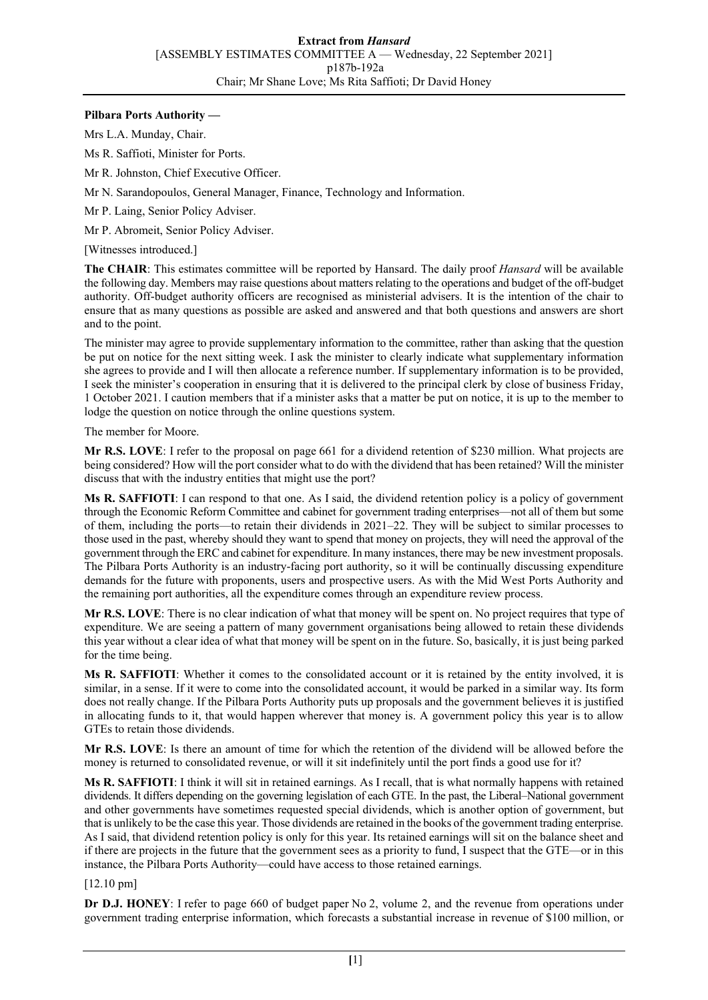# **Pilbara Ports Authority —**

Mrs L.A. Munday, Chair.

Ms R. Saffioti, Minister for Ports.

Mr R. Johnston, Chief Executive Officer.

Mr N. Sarandopoulos, General Manager, Finance, Technology and Information.

Mr P. Laing, Senior Policy Adviser.

Mr P. Abromeit, Senior Policy Adviser.

[Witnesses introduced.]

**The CHAIR**: This estimates committee will be reported by Hansard. The daily proof *Hansard* will be available the following day. Members may raise questions about matters relating to the operations and budget of the off-budget authority. Off-budget authority officers are recognised as ministerial advisers. It is the intention of the chair to ensure that as many questions as possible are asked and answered and that both questions and answers are short and to the point.

The minister may agree to provide supplementary information to the committee, rather than asking that the question be put on notice for the next sitting week. I ask the minister to clearly indicate what supplementary information she agrees to provide and I will then allocate a reference number. If supplementary information is to be provided, I seek the minister's cooperation in ensuring that it is delivered to the principal clerk by close of business Friday, 1 October 2021. I caution members that if a minister asks that a matter be put on notice, it is up to the member to lodge the question on notice through the online questions system.

The member for Moore.

**Mr R.S. LOVE**: I refer to the proposal on page 661 for a dividend retention of \$230 million. What projects are being considered? How will the port consider what to do with the dividend that has been retained? Will the minister discuss that with the industry entities that might use the port?

**Ms R. SAFFIOTI**: I can respond to that one. As I said, the dividend retention policy is a policy of government through the Economic Reform Committee and cabinet for government trading enterprises—not all of them but some of them, including the ports—to retain their dividends in 2021–22. They will be subject to similar processes to those used in the past, whereby should they want to spend that money on projects, they will need the approval of the government through the ERC and cabinet for expenditure. In many instances, there may be new investment proposals. The Pilbara Ports Authority is an industry-facing port authority, so it will be continually discussing expenditure demands for the future with proponents, users and prospective users. As with the Mid West Ports Authority and the remaining port authorities, all the expenditure comes through an expenditure review process.

**Mr R.S. LOVE**: There is no clear indication of what that money will be spent on. No project requires that type of expenditure. We are seeing a pattern of many government organisations being allowed to retain these dividends this year without a clear idea of what that money will be spent on in the future. So, basically, it is just being parked for the time being.

**Ms R. SAFFIOTI**: Whether it comes to the consolidated account or it is retained by the entity involved, it is similar, in a sense. If it were to come into the consolidated account, it would be parked in a similar way. Its form does not really change. If the Pilbara Ports Authority puts up proposals and the government believes it is justified in allocating funds to it, that would happen wherever that money is. A government policy this year is to allow GTEs to retain those dividends.

**Mr R.S. LOVE**: Is there an amount of time for which the retention of the dividend will be allowed before the money is returned to consolidated revenue, or will it sit indefinitely until the port finds a good use for it?

**Ms R. SAFFIOTI**: I think it will sit in retained earnings. As I recall, that is what normally happens with retained dividends. It differs depending on the governing legislation of each GTE. In the past, the Liberal–National government and other governments have sometimes requested special dividends, which is another option of government, but that is unlikely to be the case this year. Those dividends are retained in the books of the government trading enterprise. As I said, that dividend retention policy is only for this year. Its retained earnings will sit on the balance sheet and if there are projects in the future that the government sees as a priority to fund, I suspect that the GTE—or in this instance, the Pilbara Ports Authority—could have access to those retained earnings.

[12.10 pm]

**Dr D.J. HONEY**: I refer to page 660 of budget paper No 2, volume 2, and the revenue from operations under government trading enterprise information, which forecasts a substantial increase in revenue of \$100 million, or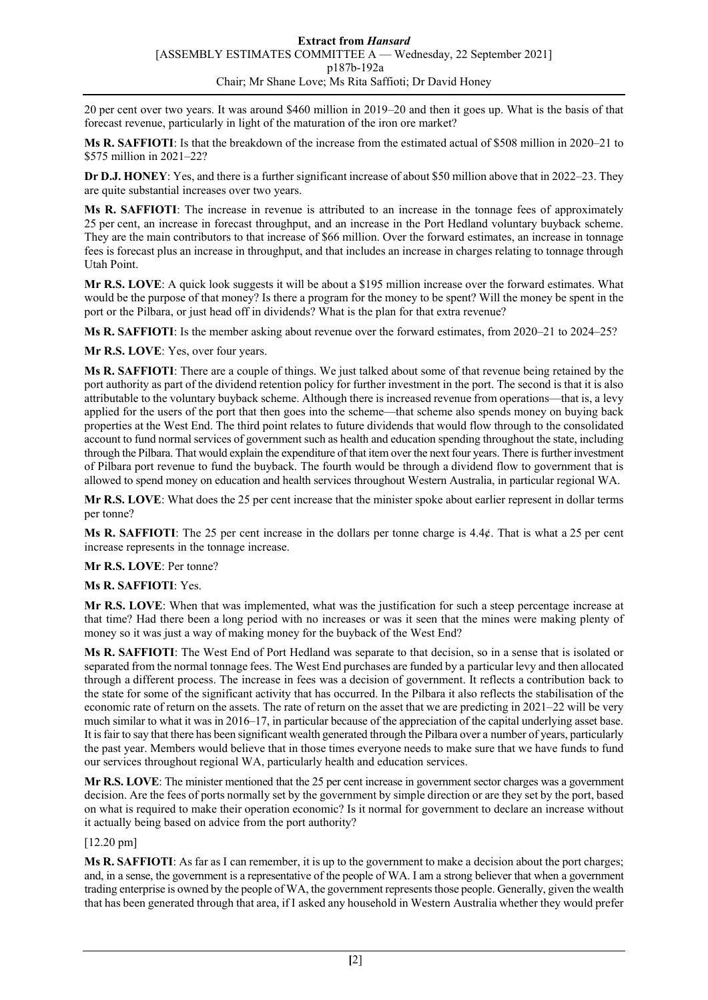20 per cent over two years. It was around \$460 million in 2019–20 and then it goes up. What is the basis of that forecast revenue, particularly in light of the maturation of the iron ore market?

**Ms R. SAFFIOTI**: Is that the breakdown of the increase from the estimated actual of \$508 million in 2020–21 to \$575 million in 2021–22?

**Dr D.J. HONEY**: Yes, and there is a further significant increase of about \$50 million above that in 2022–23. They are quite substantial increases over two years.

**Ms R. SAFFIOTI**: The increase in revenue is attributed to an increase in the tonnage fees of approximately 25 per cent, an increase in forecast throughput, and an increase in the Port Hedland voluntary buyback scheme. They are the main contributors to that increase of \$66 million. Over the forward estimates, an increase in tonnage fees is forecast plus an increase in throughput, and that includes an increase in charges relating to tonnage through Utah Point.

**Mr R.S. LOVE**: A quick look suggests it will be about a \$195 million increase over the forward estimates. What would be the purpose of that money? Is there a program for the money to be spent? Will the money be spent in the port or the Pilbara, or just head off in dividends? What is the plan for that extra revenue?

**Ms R. SAFFIOTI**: Is the member asking about revenue over the forward estimates, from 2020–21 to 2024–25?

**Mr R.S. LOVE**: Yes, over four years.

**Ms R. SAFFIOTI**: There are a couple of things. We just talked about some of that revenue being retained by the port authority as part of the dividend retention policy for further investment in the port. The second is that it is also attributable to the voluntary buyback scheme. Although there is increased revenue from operations—that is, a levy applied for the users of the port that then goes into the scheme—that scheme also spends money on buying back properties at the West End. The third point relates to future dividends that would flow through to the consolidated account to fund normal services of government such as health and education spending throughout the state, including through the Pilbara. That would explain the expenditure of that item over the next four years. There is further investment of Pilbara port revenue to fund the buyback. The fourth would be through a dividend flow to government that is allowed to spend money on education and health services throughout Western Australia, in particular regional WA.

**Mr R.S. LOVE**: What does the 25 per cent increase that the minister spoke about earlier represent in dollar terms per tonne?

**Ms R. SAFFIOTI**: The 25 per cent increase in the dollars per tonne charge is 4.4¢. That is what a 25 per cent increase represents in the tonnage increase.

#### **Mr R.S. LOVE**: Per tonne?

#### **Ms R. SAFFIOTI**: Yes.

**Mr R.S. LOVE**: When that was implemented, what was the justification for such a steep percentage increase at that time? Had there been a long period with no increases or was it seen that the mines were making plenty of money so it was just a way of making money for the buyback of the West End?

**Ms R. SAFFIOTI**: The West End of Port Hedland was separate to that decision, so in a sense that is isolated or separated from the normal tonnage fees. The West End purchases are funded by a particular levy and then allocated through a different process. The increase in fees was a decision of government. It reflects a contribution back to the state for some of the significant activity that has occurred. In the Pilbara it also reflects the stabilisation of the economic rate of return on the assets. The rate of return on the asset that we are predicting in 2021–22 will be very much similar to what it was in 2016–17, in particular because of the appreciation of the capital underlying asset base. It is fair to say that there has been significant wealth generated through the Pilbara over a number of years, particularly the past year. Members would believe that in those times everyone needs to make sure that we have funds to fund our services throughout regional WA, particularly health and education services.

**Mr R.S. LOVE**: The minister mentioned that the 25 per cent increase in government sector charges was a government decision. Are the fees of ports normally set by the government by simple direction or are they set by the port, based on what is required to make their operation economic? Is it normal for government to declare an increase without it actually being based on advice from the port authority?

#### [12.20 pm]

**Ms R. SAFFIOTI**: As far as I can remember, it is up to the government to make a decision about the port charges; and, in a sense, the government is a representative of the people of WA. I am a strong believer that when a government trading enterprise is owned by the people of WA, the government represents those people. Generally, given the wealth that has been generated through that area, if I asked any household in Western Australia whether they would prefer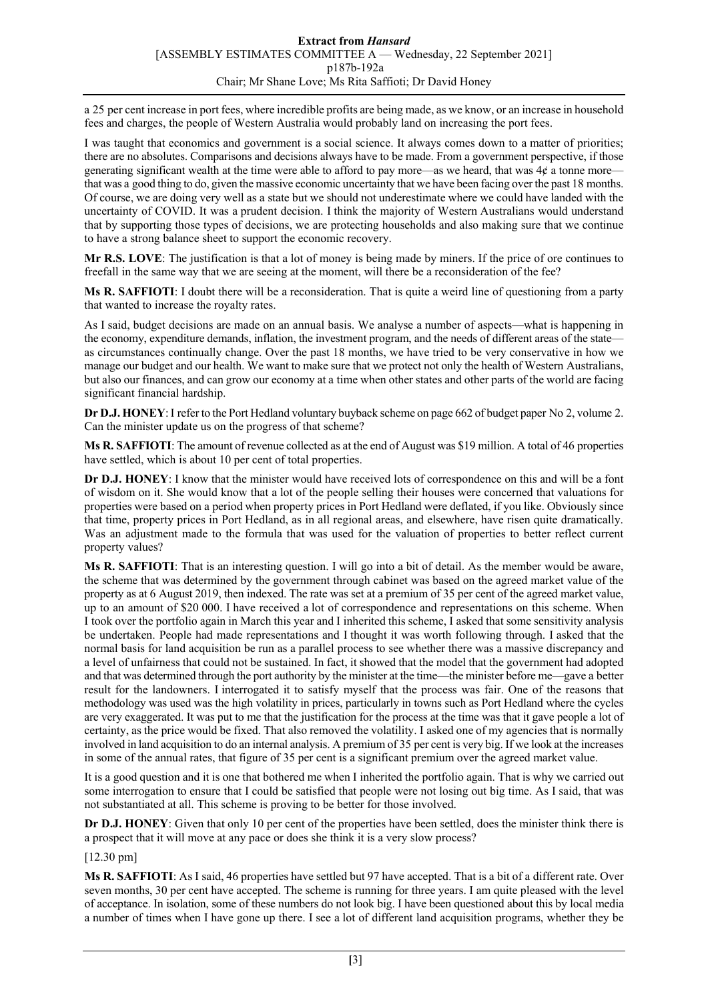a 25 per cent increase in port fees, where incredible profits are being made, as we know, or an increase in household fees and charges, the people of Western Australia would probably land on increasing the port fees.

I was taught that economics and government is a social science. It always comes down to a matter of priorities; there are no absolutes. Comparisons and decisions always have to be made. From a government perspective, if those generating significant wealth at the time were able to afford to pay more—as we heard, that was  $4¢$  a tonne more that was a good thing to do, given the massive economic uncertainty that we have been facing over the past 18 months. Of course, we are doing very well as a state but we should not underestimate where we could have landed with the uncertainty of COVID. It was a prudent decision. I think the majority of Western Australians would understand that by supporting those types of decisions, we are protecting households and also making sure that we continue to have a strong balance sheet to support the economic recovery.

**Mr R.S. LOVE**: The justification is that a lot of money is being made by miners. If the price of ore continues to freefall in the same way that we are seeing at the moment, will there be a reconsideration of the fee?

**Ms R. SAFFIOTI**: I doubt there will be a reconsideration. That is quite a weird line of questioning from a party that wanted to increase the royalty rates.

As I said, budget decisions are made on an annual basis. We analyse a number of aspects—what is happening in the economy, expenditure demands, inflation, the investment program, and the needs of different areas of the state as circumstances continually change. Over the past 18 months, we have tried to be very conservative in how we manage our budget and our health. We want to make sure that we protect not only the health of Western Australians, but also our finances, and can grow our economy at a time when other states and other parts of the world are facing significant financial hardship.

**Dr D.J. HONEY**:I refer to the Port Hedland voluntary buyback scheme on page 662 of budget paper No 2, volume 2. Can the minister update us on the progress of that scheme?

**Ms R. SAFFIOTI**: The amount of revenue collected as at the end of August was \$19 million. A total of 46 properties have settled, which is about 10 per cent of total properties.

**Dr D.J. HONEY**: I know that the minister would have received lots of correspondence on this and will be a font of wisdom on it. She would know that a lot of the people selling their houses were concerned that valuations for properties were based on a period when property prices in Port Hedland were deflated, if you like. Obviously since that time, property prices in Port Hedland, as in all regional areas, and elsewhere, have risen quite dramatically. Was an adjustment made to the formula that was used for the valuation of properties to better reflect current property values?

**Ms R. SAFFIOTI**: That is an interesting question. I will go into a bit of detail. As the member would be aware, the scheme that was determined by the government through cabinet was based on the agreed market value of the property as at 6 August 2019, then indexed. The rate was set at a premium of 35 per cent of the agreed market value, up to an amount of \$20 000. I have received a lot of correspondence and representations on this scheme. When I took over the portfolio again in March this year and I inherited this scheme, I asked that some sensitivity analysis be undertaken. People had made representations and I thought it was worth following through. I asked that the normal basis for land acquisition be run as a parallel process to see whether there was a massive discrepancy and a level of unfairness that could not be sustained. In fact, it showed that the model that the government had adopted and that was determined through the port authority by the minister at the time—the minister before me—gave a better result for the landowners. I interrogated it to satisfy myself that the process was fair. One of the reasons that methodology was used was the high volatility in prices, particularly in towns such as Port Hedland where the cycles are very exaggerated. It was put to me that the justification for the process at the time was that it gave people a lot of certainty, as the price would be fixed. That also removed the volatility. I asked one of my agencies that is normally involved in land acquisition to do an internal analysis. A premium of 35 per cent is very big. If we look at the increases in some of the annual rates, that figure of 35 per cent is a significant premium over the agreed market value.

It is a good question and it is one that bothered me when I inherited the portfolio again. That is why we carried out some interrogation to ensure that I could be satisfied that people were not losing out big time. As I said, that was not substantiated at all. This scheme is proving to be better for those involved.

**Dr D.J. HONEY**: Given that only 10 per cent of the properties have been settled, does the minister think there is a prospect that it will move at any pace or does she think it is a very slow process?

[12.30 pm]

**Ms R. SAFFIOTI**: As I said, 46 properties have settled but 97 have accepted. That is a bit of a different rate. Over seven months, 30 per cent have accepted. The scheme is running for three years. I am quite pleased with the level of acceptance. In isolation, some of these numbers do not look big. I have been questioned about this by local media a number of times when I have gone up there. I see a lot of different land acquisition programs, whether they be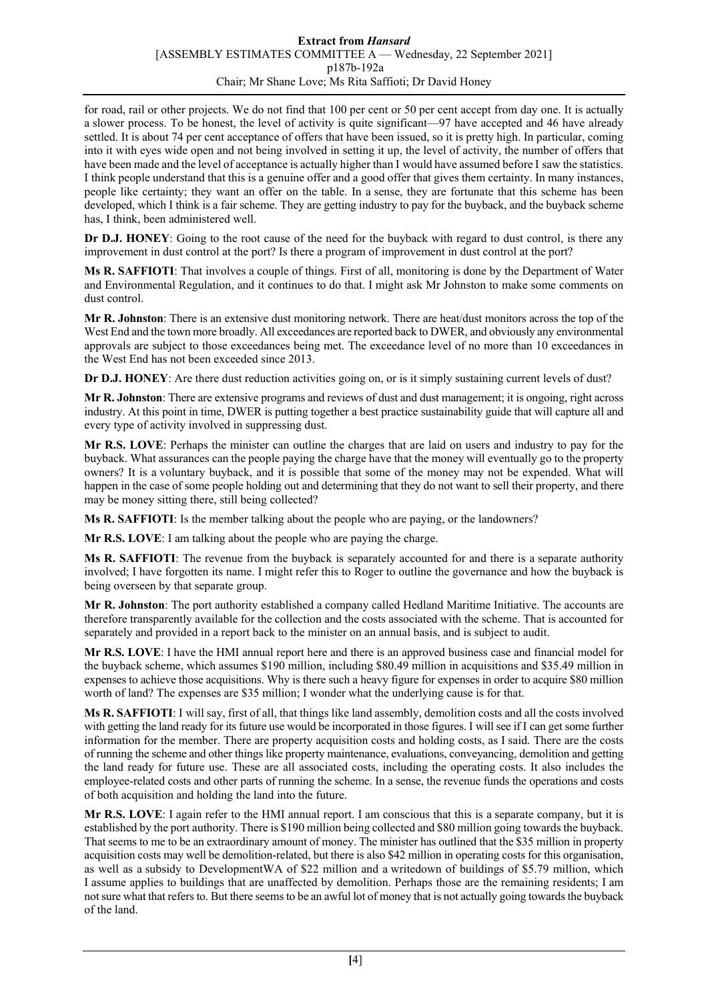## **Extract from** *Hansard* [ASSEMBLY ESTIMATES COMMITTEE A — Wednesday, 22 September 2021] p187b-192a Chair; Mr Shane Love; Ms Rita Saffioti; Dr David Honey

for road, rail or other projects. We do not find that 100 per cent or 50 per cent accept from day one. It is actually a slower process. To be honest, the level of activity is quite significant—97 have accepted and 46 have already settled. It is about 74 per cent acceptance of offers that have been issued, so it is pretty high. In particular, coming into it with eyes wide open and not being involved in setting it up, the level of activity, the number of offers that have been made and the level of acceptance is actually higher than I would have assumed before I saw the statistics. I think people understand that this is a genuine offer and a good offer that gives them certainty. In many instances, people like certainty; they want an offer on the table. In a sense, they are fortunate that this scheme has been developed, which I think is a fair scheme. They are getting industry to pay for the buyback, and the buyback scheme has, I think, been administered well.

**Dr D.J. HONEY**: Going to the root cause of the need for the buyback with regard to dust control, is there any improvement in dust control at the port? Is there a program of improvement in dust control at the port?

**Ms R. SAFFIOTI**: That involves a couple of things. First of all, monitoring is done by the Department of Water and Environmental Regulation, and it continues to do that. I might ask Mr Johnston to make some comments on dust control.

**Mr R. Johnston**: There is an extensive dust monitoring network. There are heat/dust monitors across the top of the West End and the town more broadly. All exceedances are reported back to DWER, and obviously any environmental approvals are subject to those exceedances being met. The exceedance level of no more than 10 exceedances in the West End has not been exceeded since 2013.

**Dr D.J. HONEY:** Are there dust reduction activities going on, or is it simply sustaining current levels of dust?

**Mr R. Johnston**: There are extensive programs and reviews of dust and dust management; it is ongoing, right across industry. At this point in time, DWER is putting together a best practice sustainability guide that will capture all and every type of activity involved in suppressing dust.

**Mr R.S. LOVE**: Perhaps the minister can outline the charges that are laid on users and industry to pay for the buyback. What assurances can the people paying the charge have that the money will eventually go to the property owners? It is a voluntary buyback, and it is possible that some of the money may not be expended. What will happen in the case of some people holding out and determining that they do not want to sell their property, and there may be money sitting there, still being collected?

**Ms R. SAFFIOTI**: Is the member talking about the people who are paying, or the landowners?

**Mr R.S. LOVE**: I am talking about the people who are paying the charge.

**Ms R. SAFFIOTI**: The revenue from the buyback is separately accounted for and there is a separate authority involved; I have forgotten its name. I might refer this to Roger to outline the governance and how the buyback is being overseen by that separate group.

**Mr R. Johnston**: The port authority established a company called Hedland Maritime Initiative. The accounts are therefore transparently available for the collection and the costs associated with the scheme. That is accounted for separately and provided in a report back to the minister on an annual basis, and is subject to audit.

**Mr R.S. LOVE**: I have the HMI annual report here and there is an approved business case and financial model for the buyback scheme, which assumes \$190 million, including \$80.49 million in acquisitions and \$35.49 million in expenses to achieve those acquisitions. Why is there such a heavy figure for expenses in order to acquire \$80 million worth of land? The expenses are \$35 million; I wonder what the underlying cause is for that.

**Ms R. SAFFIOTI**: I will say, first of all, that things like land assembly, demolition costs and all the costs involved with getting the land ready for its future use would be incorporated in those figures. I will see if I can get some further information for the member. There are property acquisition costs and holding costs, as I said. There are the costs of running the scheme and other things like property maintenance, evaluations, conveyancing, demolition and getting the land ready for future use. These are all associated costs, including the operating costs. It also includes the employee-related costs and other parts of running the scheme. In a sense, the revenue funds the operations and costs of both acquisition and holding the land into the future.

**Mr R.S. LOVE**: I again refer to the HMI annual report. I am conscious that this is a separate company, but it is established by the port authority. There is \$190 million being collected and \$80 million going towards the buyback. That seems to me to be an extraordinary amount of money. The minister has outlined that the \$35 million in property acquisition costs may well be demolition-related, but there is also \$42 million in operating costs for this organisation, as well as a subsidy to DevelopmentWA of \$22 million and a writedown of buildings of \$5.79 million, which I assume applies to buildings that are unaffected by demolition. Perhaps those are the remaining residents; I am not sure what that refers to. But there seems to be an awful lot of money that is not actually going towards the buyback of the land.